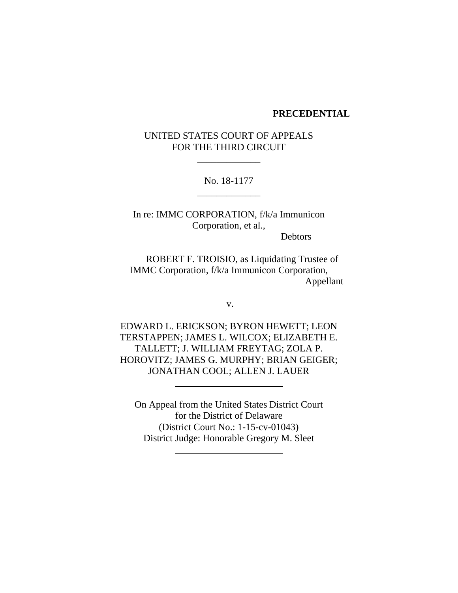#### **PRECEDENTIAL**

# UNITED STATES COURT OF APPEALS FOR THE THIRD CIRCUIT

\_\_\_\_\_\_\_\_\_\_\_\_\_

No. 18-1177 \_\_\_\_\_\_\_\_\_\_\_\_\_

In re: IMMC CORPORATION, f/k/a Immunicon Corporation, et al.,

Debtors

ROBERT F. TROISIO, as Liquidating Trustee of IMMC Corporation, f/k/a Immunicon Corporation, Appellant

v.

EDWARD L. ERICKSON; BYRON HEWETT; LEON TERSTAPPEN; JAMES L. WILCOX; ELIZABETH E. TALLETT; J. WILLIAM FREYTAG; ZOLA P. HOROVITZ; JAMES G. MURPHY; BRIAN GEIGER; JONATHAN COOL; ALLEN J. LAUER

On Appeal from the United States District Court for the District of Delaware (District Court No.: 1-15-cv-01043) District Judge: Honorable Gregory M. Sleet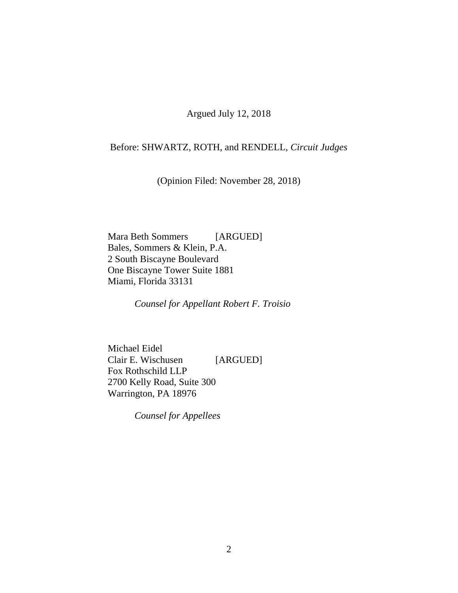Argued July 12, 2018

## Before: SHWARTZ, ROTH, and RENDELL, *Circuit Judges*

(Opinion Filed: November 28, 2018)

Mara Beth Sommers [ARGUED] Bales, Sommers & Klein, P.A. 2 South Biscayne Boulevard One Biscayne Tower Suite 1881 Miami, Florida 33131

*Counsel for Appellant Robert F. Troisio*

Michael Eidel Clair E. Wischusen [ARGUED] Fox Rothschild LLP 2700 Kelly Road, Suite 300 Warrington, PA 18976

*Counsel for Appellees*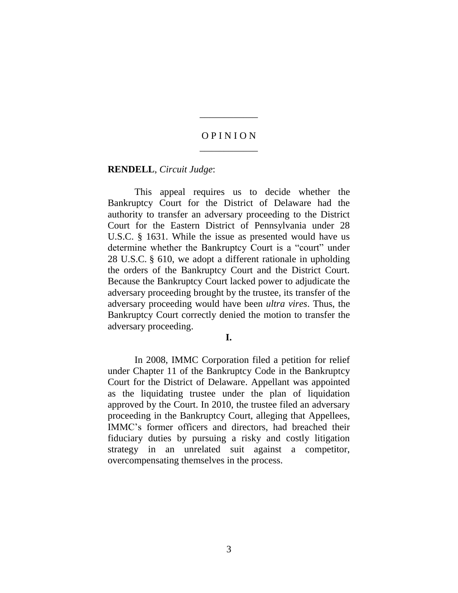## O P I N I O N \_\_\_\_\_\_\_\_\_\_\_\_

\_\_\_\_\_\_\_\_\_\_\_\_

#### **RENDELL**, *Circuit Judge*:

This appeal requires us to decide whether the Bankruptcy Court for the District of Delaware had the authority to transfer an adversary proceeding to the District Court for the Eastern District of Pennsylvania under 28 U.S.C. § 1631. While the issue as presented would have us determine whether the Bankruptcy Court is a "court" under 28 U.S.C. § 610, we adopt a different rationale in upholding the orders of the Bankruptcy Court and the District Court. Because the Bankruptcy Court lacked power to adjudicate the adversary proceeding brought by the trustee, its transfer of the adversary proceeding would have been *ultra vires*. Thus, the Bankruptcy Court correctly denied the motion to transfer the adversary proceeding.

#### **I.**

In 2008, IMMC Corporation filed a petition for relief under Chapter 11 of the Bankruptcy Code in the Bankruptcy Court for the District of Delaware. Appellant was appointed as the liquidating trustee under the plan of liquidation approved by the Court. In 2010, the trustee filed an adversary proceeding in the Bankruptcy Court, alleging that Appellees, IMMC's former officers and directors, had breached their fiduciary duties by pursuing a risky and costly litigation strategy in an unrelated suit against a competitor, overcompensating themselves in the process.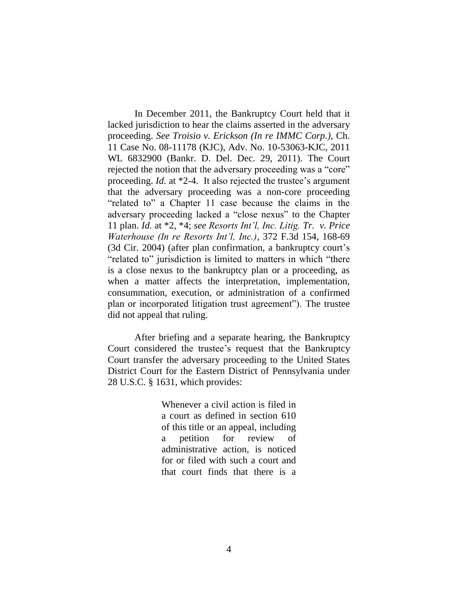In December 2011, the Bankruptcy Court held that it lacked jurisdiction to hear the claims asserted in the adversary proceeding. *See Troisio v. Erickson (In re IMMC Corp.)*, Ch. 11 Case No. 08-11178 (KJC), Adv. No. 10-53063-KJC, 2011 WL 6832900 (Bankr. D. Del. Dec. 29, 2011). The Court rejected the notion that the adversary proceeding was a "core" proceeding. *Id.* at \*2-4. It also rejected the trustee's argument that the adversary proceeding was a non-core proceeding "related to" a Chapter 11 case because the claims in the adversary proceeding lacked a "close nexus" to the Chapter 11 plan. *Id.* at \*2, \*4; *see Resorts Int'l, Inc. Litig. Tr. v. Price Waterhouse (In re Resorts Int'l, Inc.)*, 372 F.3d 154, 168-69 (3d Cir. 2004) (after plan confirmation, a bankruptcy court's "related to" jurisdiction is limited to matters in which "there is a close nexus to the bankruptcy plan or a proceeding, as when a matter affects the interpretation, implementation, consummation, execution, or administration of a confirmed plan or incorporated litigation trust agreement"). The trustee did not appeal that ruling.

After briefing and a separate hearing, the Bankruptcy Court considered the trustee's request that the Bankruptcy Court transfer the adversary proceeding to the United States District Court for the Eastern District of Pennsylvania under 28 U.S.C. § 1631, which provides:

> Whenever a civil action is filed in a court as defined in section 610 of this title or an appeal, including petition for review of administrative action, is noticed for or filed with such a court and that court finds that there is a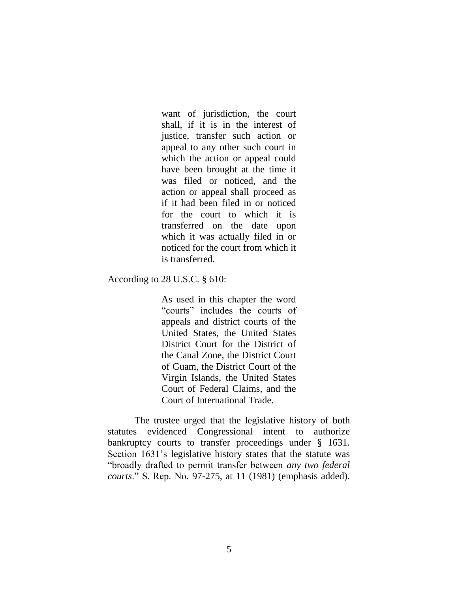want of jurisdiction, the court shall, if it is in the interest of justice, transfer such action or appeal to any other such court in which the action or appeal could have been brought at the time it was filed or noticed, and the action or appeal shall proceed as if it had been filed in or noticed for the court to which it is transferred on the date upon which it was actually filed in or noticed for the court from which it is transferred.

### According to 28 U.S.C. § 610:

As used in this chapter the word "courts" includes the courts of appeals and district courts of the United States, the United States District Court for the District of the Canal Zone, the District Court of Guam, the District Court of the Virgin Islands, the United States Court of Federal Claims, and the Court of International Trade.

The trustee urged that the legislative history of both statutes evidenced Congressional intent to authorize bankruptcy courts to transfer proceedings under § 1631. Section 1631's legislative history states that the statute was "broadly drafted to permit transfer between *any two federal courts*." S. Rep. No. 97-275, at 11 (1981) (emphasis added).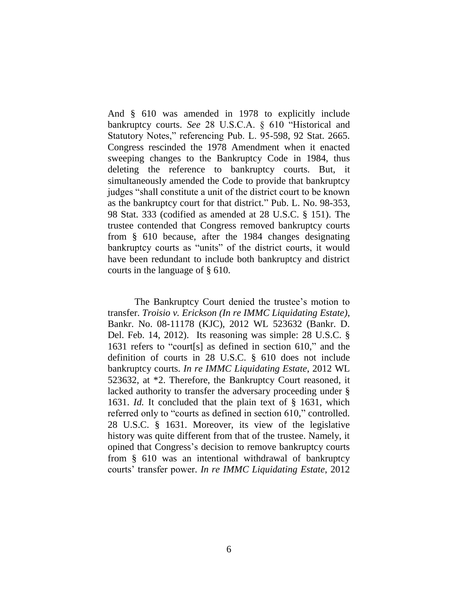And § 610 was amended in 1978 to explicitly include bankruptcy courts. *See* 28 U.S.C.A. § 610 "Historical and Statutory Notes," referencing Pub. L. 95-598, 92 Stat. 2665. Congress rescinded the 1978 Amendment when it enacted sweeping changes to the Bankruptcy Code in 1984, thus deleting the reference to bankruptcy courts. But, it simultaneously amended the Code to provide that bankruptcy judges "shall constitute a unit of the district court to be known as the bankruptcy court for that district." Pub. L. No. 98-353, 98 Stat. 333 (codified as amended at 28 U.S.C. § 151). The trustee contended that Congress removed bankruptcy courts from § 610 because, after the 1984 changes designating bankruptcy courts as "units" of the district courts, it would have been redundant to include both bankruptcy and district courts in the language of § 610.

The Bankruptcy Court denied the trustee's motion to transfer. *Troisio v. Erickson (In re IMMC Liquidating Estate)*, Bankr. No. 08-11178 (KJC), 2012 WL 523632 (Bankr. D. Del. Feb. 14, 2012). Its reasoning was simple: 28 U.S.C. § 1631 refers to "court[s] as defined in section 610," and the definition of courts in 28 U.S.C. § 610 does not include bankruptcy courts. *In re IMMC Liquidating Estate*, 2012 WL 523632, at \*2. Therefore, the Bankruptcy Court reasoned, it lacked authority to transfer the adversary proceeding under § 1631. *Id.* It concluded that the plain text of § 1631, which referred only to "courts as defined in section 610," controlled. 28 U.S.C. § 1631. Moreover, its view of the legislative history was quite different from that of the trustee. Namely, it opined that Congress's decision to remove bankruptcy courts from § 610 was an intentional withdrawal of bankruptcy courts' transfer power. *In re IMMC Liquidating Estate*, 2012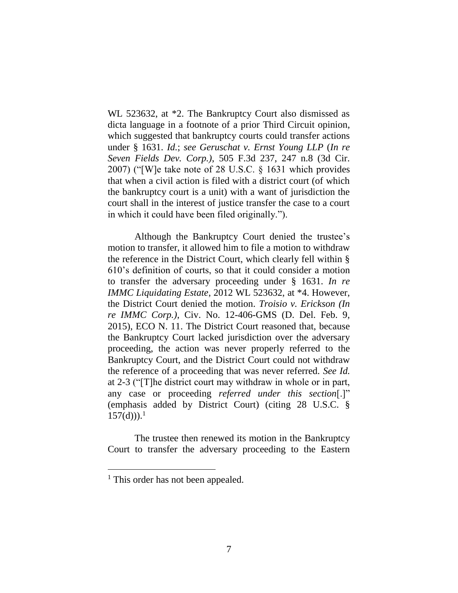WL 523632, at \*2. The Bankruptcy Court also dismissed as dicta language in a footnote of a prior Third Circuit opinion, which suggested that bankruptcy courts could transfer actions under § 1631. *Id.*; *see Geruschat v. Ernst Young LLP* (*In re Seven Fields Dev. Corp.)*, 505 F.3d 237, 247 n.8 (3d Cir. 2007) ("[W]e take note of 28 U.S.C. § 1631 which provides that when a civil action is filed with a district court (of which the bankruptcy court is a unit) with a want of jurisdiction the court shall in the interest of justice transfer the case to a court in which it could have been filed originally.").

Although the Bankruptcy Court denied the trustee's motion to transfer, it allowed him to file a motion to withdraw the reference in the District Court, which clearly fell within § 610's definition of courts, so that it could consider a motion to transfer the adversary proceeding under § 1631. *In re IMMC Liquidating Estate*, 2012 WL 523632, at \*4. However, the District Court denied the motion. *Troisio v. Erickson (In re IMMC Corp.)*, Civ. No. 12-406-GMS (D. Del. Feb. 9, 2015), ECO N. 11. The District Court reasoned that, because the Bankruptcy Court lacked jurisdiction over the adversary proceeding, the action was never properly referred to the Bankruptcy Court, and the District Court could not withdraw the reference of a proceeding that was never referred. *See Id.* at 2-3 ("[T]he district court may withdraw in whole or in part, any case or proceeding *referred under this section*[.]" (emphasis added by District Court) (citing 28 U.S.C. §  $157(d))$ .<sup>1</sup>

The trustee then renewed its motion in the Bankruptcy Court to transfer the adversary proceeding to the Eastern

 $\overline{a}$ 

<sup>&</sup>lt;sup>1</sup> This order has not been appealed.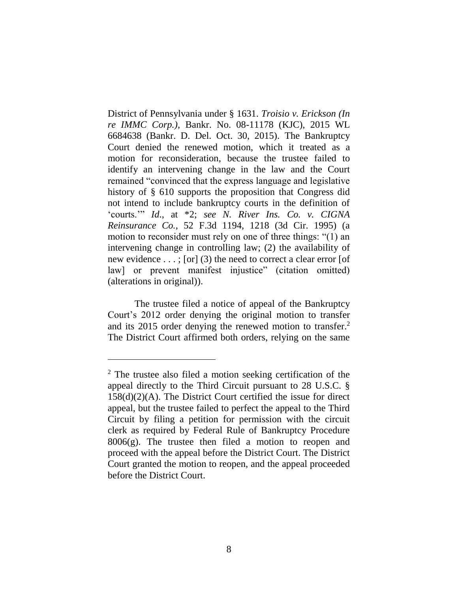District of Pennsylvania under § 1631. *Troisio v. Erickson (In re IMMC Corp.)*, Bankr. No. 08-11178 (KJC), 2015 WL 6684638 (Bankr. D. Del. Oct. 30, 2015). The Bankruptcy Court denied the renewed motion, which it treated as a motion for reconsideration, because the trustee failed to identify an intervening change in the law and the Court remained "convinced that the express language and legislative history of § 610 supports the proposition that Congress did not intend to include bankruptcy courts in the definition of 'courts.'" *Id*., at \*2; *see N. River Ins. Co. v. CIGNA Reinsurance Co.*, 52 F.3d 1194, 1218 (3d Cir. 1995) (a motion to reconsider must rely on one of three things: "(1) an intervening change in controlling law; (2) the availability of new evidence . . . ; [or] (3) the need to correct a clear error [of law] or prevent manifest injustice" (citation omitted) (alterations in original)).

The trustee filed a notice of appeal of the Bankruptcy Court's 2012 order denying the original motion to transfer and its 2015 order denying the renewed motion to transfer.<sup>2</sup> The District Court affirmed both orders, relying on the same

 $\overline{a}$ 

<sup>2</sup> The trustee also filed a motion seeking certification of the appeal directly to the Third Circuit pursuant to 28 U.S.C. § 158(d)(2)(A). The District Court certified the issue for direct appeal, but the trustee failed to perfect the appeal to the Third Circuit by filing a petition for permission with the circuit clerk as required by Federal Rule of Bankruptcy Procedure  $8006(g)$ . The trustee then filed a motion to reopen and proceed with the appeal before the District Court. The District Court granted the motion to reopen, and the appeal proceeded before the District Court.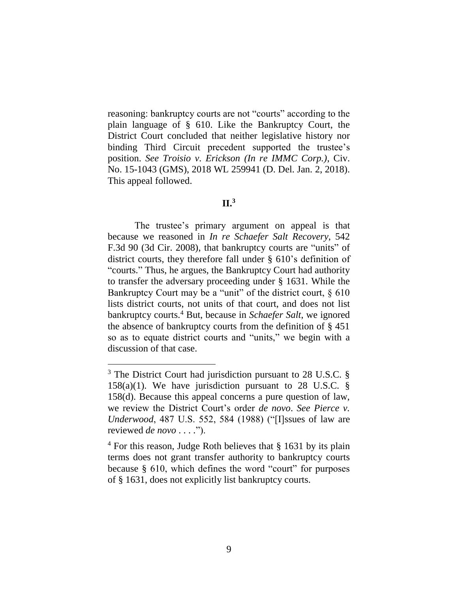reasoning: bankruptcy courts are not "courts" according to the plain language of § 610. Like the Bankruptcy Court, the District Court concluded that neither legislative history nor binding Third Circuit precedent supported the trustee's position. *See Troisio v. Erickson (In re IMMC Corp.)*, Civ. No. 15-1043 (GMS), 2018 WL 259941 (D. Del. Jan. 2, 2018). This appeal followed.

# **II.<sup>3</sup>**

The trustee's primary argument on appeal is that because we reasoned in *In re Schaefer Salt Recovery*, 542 F.3d 90 (3d Cir. 2008), that bankruptcy courts are "units" of district courts, they therefore fall under § 610's definition of "courts." Thus, he argues, the Bankruptcy Court had authority to transfer the adversary proceeding under § 1631. While the Bankruptcy Court may be a "unit" of the district court,  $\S 610$ lists district courts, not units of that court, and does not list bankruptcy courts.<sup>4</sup> But, because in *Schaefer Salt*, we ignored the absence of bankruptcy courts from the definition of § 451 so as to equate district courts and "units," we begin with a discussion of that case.

 $\overline{a}$ 

<sup>&</sup>lt;sup>3</sup> The District Court had jurisdiction pursuant to 28 U.S.C. § 158(a)(1). We have jurisdiction pursuant to 28 U.S.C.  $\S$ 158(d). Because this appeal concerns a pure question of law, we review the District Court's order *de novo*. *See Pierce v. Underwood*, 487 U.S. 552, 584 (1988) ("[I]ssues of law are reviewed *de novo* . . . .").

<sup>&</sup>lt;sup>4</sup> For this reason, Judge Roth believes that § 1631 by its plain terms does not grant transfer authority to bankruptcy courts because § 610, which defines the word "court" for purposes of § 1631, does not explicitly list bankruptcy courts.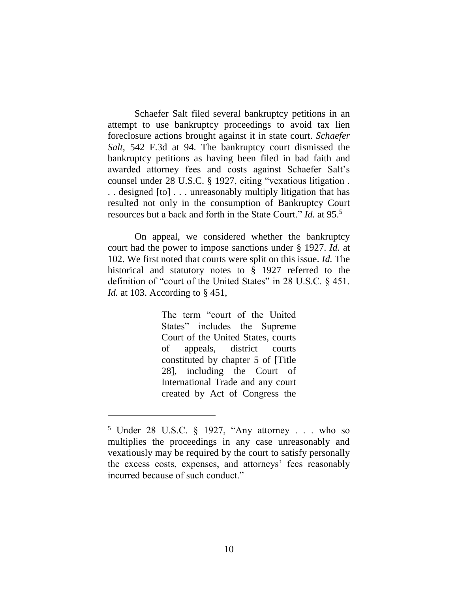Schaefer Salt filed several bankruptcy petitions in an attempt to use bankruptcy proceedings to avoid tax lien foreclosure actions brought against it in state court. *Schaefer Salt*, 542 F.3d at 94. The bankruptcy court dismissed the bankruptcy petitions as having been filed in bad faith and awarded attorney fees and costs against Schaefer Salt's counsel under 28 U.S.C. § 1927, citing "vexatious litigation . . . designed [to] . . . unreasonably multiply litigation that has resulted not only in the consumption of Bankruptcy Court resources but a back and forth in the State Court." *Id.* at 95.<sup>5</sup>

On appeal, we considered whether the bankruptcy court had the power to impose sanctions under § 1927. *Id.* at 102. We first noted that courts were split on this issue. *Id.* The historical and statutory notes to § 1927 referred to the definition of "court of the United States" in 28 U.S.C. § 451. *Id.* at 103. According to § 451,

> The term "court of the United States" includes the Supreme Court of the United States, courts of appeals, district courts constituted by chapter 5 of [Title 28], including the Court of International Trade and any court created by Act of Congress the

<sup>5</sup> Under 28 U.S.C. § 1927, "Any attorney . . . who so multiplies the proceedings in any case unreasonably and vexatiously may be required by the court to satisfy personally the excess costs, expenses, and attorneys' fees reasonably incurred because of such conduct."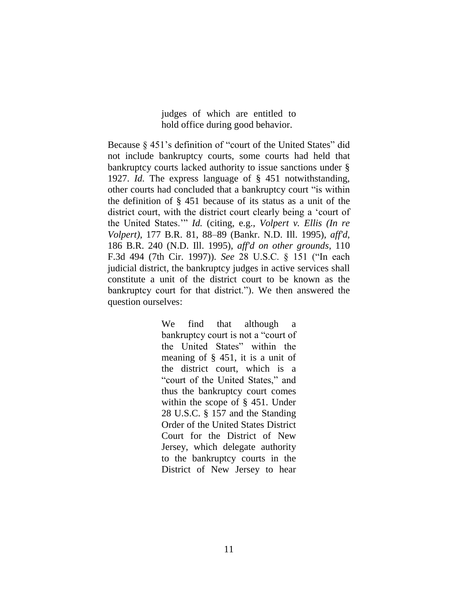judges of which are entitled to hold office during good behavior.

Because § 451's definition of "court of the United States" did not include bankruptcy courts, some courts had held that bankruptcy courts lacked authority to issue sanctions under § 1927. *Id.* The express language of § 451 notwithstanding, other courts had concluded that a bankruptcy court "is within the definition of § 451 because of its status as a unit of the district court, with the district court clearly being a 'court of the United States.'" *Id.* (citing, e.g., *Volpert v. Ellis (In re Volpert)*, 177 B.R. 81, 88–89 (Bankr. N.D. Ill. 1995), *aff'd*, 186 B.R. 240 (N.D. Ill. 1995), *aff'd on other grounds*, 110 F.3d 494 (7th Cir. 1997)). *See* 28 U.S.C. § 151 ("In each judicial district, the bankruptcy judges in active services shall constitute a unit of the district court to be known as the bankruptcy court for that district."). We then answered the question ourselves:

> We find that although a bankruptcy court is not a "court of the United States" within the meaning of § 451, it is a unit of the district court, which is a "court of the United States," and thus the bankruptcy court comes within the scope of § 451. Under 28 U.S.C. § 157 and the Standing Order of the United States District Court for the District of New Jersey, which delegate authority to the bankruptcy courts in the District of New Jersey to hear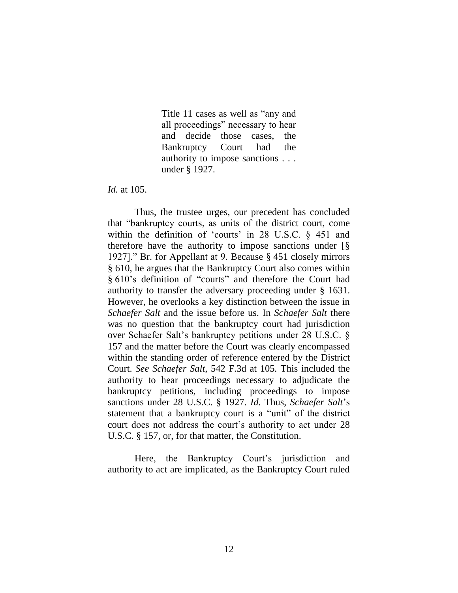Title 11 cases as well as "any and all proceedings" necessary to hear and decide those cases, the Bankruptcy Court had the authority to impose sanctions . . . under § 1927.

*Id.* at 105.

Thus, the trustee urges, our precedent has concluded that "bankruptcy courts, as units of the district court, come within the definition of 'courts' in 28 U.S.C. § 451 and therefore have the authority to impose sanctions under [§ 1927]." Br. for Appellant at 9. Because § 451 closely mirrors § 610, he argues that the Bankruptcy Court also comes within § 610's definition of "courts" and therefore the Court had authority to transfer the adversary proceeding under § 1631. However, he overlooks a key distinction between the issue in *Schaefer Salt* and the issue before us. In *Schaefer Salt* there was no question that the bankruptcy court had jurisdiction over Schaefer Salt's bankruptcy petitions under 28 U.S.C. § 157 and the matter before the Court was clearly encompassed within the standing order of reference entered by the District Court. *See Schaefer Salt*, 542 F.3d at 105*.* This included the authority to hear proceedings necessary to adjudicate the bankruptcy petitions, including proceedings to impose sanctions under 28 U.S.C. § 1927. *Id.* Thus, *Schaefer Salt*'s statement that a bankruptcy court is a "unit" of the district court does not address the court's authority to act under 28 U.S.C. § 157, or, for that matter, the Constitution.

Here, the Bankruptcy Court's jurisdiction and authority to act are implicated, as the Bankruptcy Court ruled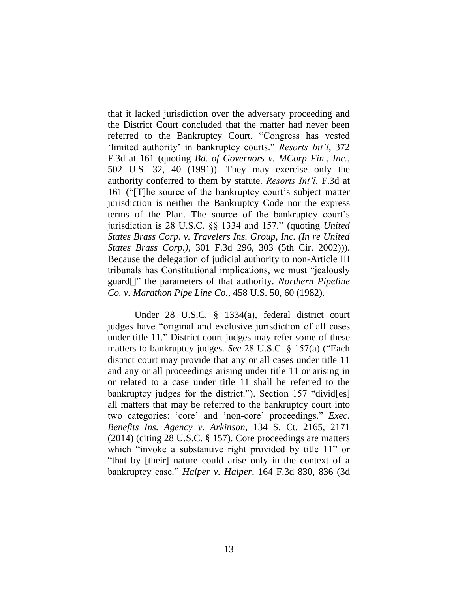that it lacked jurisdiction over the adversary proceeding and the District Court concluded that the matter had never been referred to the Bankruptcy Court. "Congress has vested 'limited authority' in bankruptcy courts." *Resorts Int'l*, 372 F.3d at 161 (quoting *Bd. of Governors v. MCorp Fin., Inc.*, 502 U.S. 32, 40 (1991)). They may exercise only the authority conferred to them by statute. *Resorts Int'l*, F.3d at 161 ("[T]he source of the bankruptcy court's subject matter jurisdiction is neither the Bankruptcy Code nor the express terms of the Plan. The source of the bankruptcy court's jurisdiction is 28 U.S.C. §§ 1334 and 157." (quoting *United States Brass Corp. v. Travelers Ins. Group, Inc. (In re United States Brass Corp.)*, 301 F.3d 296, 303 (5th Cir. 2002))). Because the delegation of judicial authority to non-Article III tribunals has Constitutional implications, we must "jealously guard[]" the parameters of that authority. *Northern Pipeline Co. v. Marathon Pipe Line Co.*, 458 U.S. 50, 60 (1982).

Under 28 U.S.C. § 1334(a), federal district court judges have "original and exclusive jurisdiction of all cases under title 11." District court judges may refer some of these matters to bankruptcy judges. *See* 28 U.S.C. § 157(a) ("Each district court may provide that any or all cases under title 11 and any or all proceedings arising under title 11 or arising in or related to a case under title 11 shall be referred to the bankruptcy judges for the district."). Section 157 "divid[es] all matters that may be referred to the bankruptcy court into two categories: 'core' and 'non-core' proceedings." *Exec. Benefits Ins. Agency v. Arkinson*, 134 S. Ct. 2165, 2171 (2014) (citing 28 U.S.C. § 157). Core proceedings are matters which "invoke a substantive right provided by title 11" or "that by [their] nature could arise only in the context of a bankruptcy case." *Halper v. Halper*, 164 F.3d 830, 836 (3d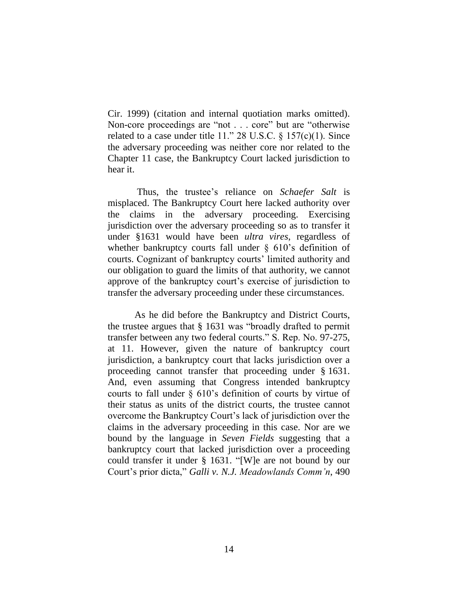Cir. 1999) (citation and internal quotiation marks omitted). Non-core proceedings are "not . . . core" but are "otherwise related to a case under title 11." 28 U.S.C.  $\S$  157(c)(1). Since the adversary proceeding was neither core nor related to the Chapter 11 case, the Bankruptcy Court lacked jurisdiction to hear it.

Thus, the trustee's reliance on *Schaefer Salt* is misplaced. The Bankruptcy Court here lacked authority over the claims in the adversary proceeding. Exercising jurisdiction over the adversary proceeding so as to transfer it under §1631 would have been *ultra vires*, regardless of whether bankruptcy courts fall under § 610's definition of courts. Cognizant of bankruptcy courts' limited authority and our obligation to guard the limits of that authority, we cannot approve of the bankruptcy court's exercise of jurisdiction to transfer the adversary proceeding under these circumstances.

As he did before the Bankruptcy and District Courts, the trustee argues that § 1631 was "broadly drafted to permit transfer between any two federal courts." S. Rep. No. 97-275, at 11. However, given the nature of bankruptcy court jurisdiction, a bankruptcy court that lacks jurisdiction over a proceeding cannot transfer that proceeding under § 1631. And, even assuming that Congress intended bankruptcy courts to fall under § 610's definition of courts by virtue of their status as units of the district courts, the trustee cannot overcome the Bankruptcy Court's lack of jurisdiction over the claims in the adversary proceeding in this case. Nor are we bound by the language in *Seven Fields* suggesting that a bankruptcy court that lacked jurisdiction over a proceeding could transfer it under § 1631. "[W]e are not bound by our Court's prior dicta," *Galli v. N.J. Meadowlands Comm'n*, 490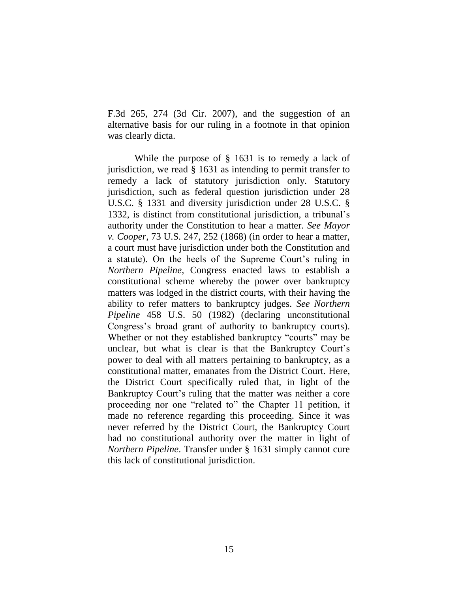F.3d 265, 274 (3d Cir. 2007), and the suggestion of an alternative basis for our ruling in a footnote in that opinion was clearly dicta.

While the purpose of § 1631 is to remedy a lack of jurisdiction, we read § 1631 as intending to permit transfer to remedy a lack of statutory jurisdiction only. Statutory jurisdiction, such as federal question jurisdiction under 28 U.S.C. § 1331 and diversity jurisdiction under 28 U.S.C. § 1332, is distinct from constitutional jurisdiction, a tribunal's authority under the Constitution to hear a matter. *See Mayor v. Cooper*, 73 U.S. 247, 252 (1868) (in order to hear a matter, a court must have jurisdiction under both the Constitution and a statute). On the heels of the Supreme Court's ruling in *Northern Pipeline*, Congress enacted laws to establish a constitutional scheme whereby the power over bankruptcy matters was lodged in the district courts, with their having the ability to refer matters to bankruptcy judges. *See Northern Pipeline* 458 U.S. 50 (1982) (declaring unconstitutional Congress's broad grant of authority to bankruptcy courts). Whether or not they established bankruptcy "courts" may be unclear, but what is clear is that the Bankruptcy Court's power to deal with all matters pertaining to bankruptcy, as a constitutional matter, emanates from the District Court. Here, the District Court specifically ruled that, in light of the Bankruptcy Court's ruling that the matter was neither a core proceeding nor one "related to" the Chapter 11 petition, it made no reference regarding this proceeding. Since it was never referred by the District Court, the Bankruptcy Court had no constitutional authority over the matter in light of *Northern Pipeline*. Transfer under § 1631 simply cannot cure this lack of constitutional jurisdiction.